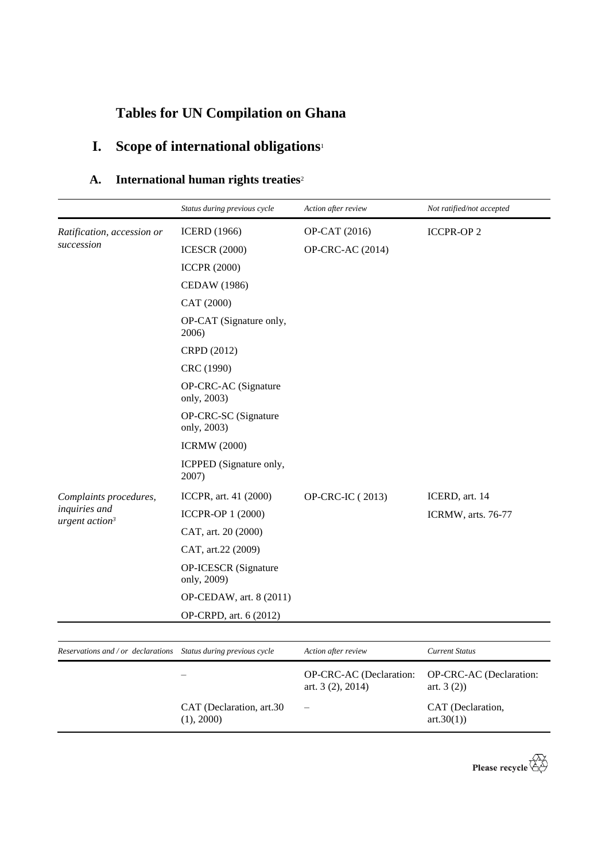## **Tables for UN Compilation on Ghana**

CAT (Declaration, art.30

(1), 2000)

# **I. Scope of international obligations**<sup>1</sup>

## **A. International human rights treaties**<sup>2</sup>

|                                                                  | Status during previous cycle        | Action after review                          | Not ratified/not accepted              |
|------------------------------------------------------------------|-------------------------------------|----------------------------------------------|----------------------------------------|
| Ratification, accession or                                       | <b>ICERD</b> (1966)                 | OP-CAT (2016)                                | <b>ICCPR-OP2</b>                       |
| succession                                                       | <b>ICESCR (2000)</b>                | OP-CRC-AC (2014)                             |                                        |
|                                                                  | <b>ICCPR (2000)</b>                 |                                              |                                        |
|                                                                  | <b>CEDAW</b> (1986)                 |                                              |                                        |
|                                                                  | CAT (2000)                          |                                              |                                        |
|                                                                  | OP-CAT (Signature only,<br>2006)    |                                              |                                        |
|                                                                  | CRPD (2012)                         |                                              |                                        |
|                                                                  | CRC (1990)                          |                                              |                                        |
|                                                                  | OP-CRC-AC (Signature<br>only, 2003) |                                              |                                        |
|                                                                  | OP-CRC-SC (Signature<br>only, 2003) |                                              |                                        |
|                                                                  | <b>ICRMW</b> (2000)                 |                                              |                                        |
|                                                                  | ICPPED (Signature only,<br>2007)    |                                              |                                        |
| Complaints procedures,<br>inquiries and                          | ICCPR, art. 41 (2000)               | OP-CRC-IC (2013)                             | ICERD, art. 14                         |
|                                                                  | ICCPR-OP 1 (2000)                   |                                              | ICRMW, arts. 76-77                     |
| urgent $action3$                                                 | CAT, art. 20 (2000)                 |                                              |                                        |
|                                                                  | CAT, art.22 (2009)                  |                                              |                                        |
|                                                                  | OP-ICESCR (Signature<br>only, 2009) |                                              |                                        |
|                                                                  | OP-CEDAW, art. 8 (2011)             |                                              |                                        |
|                                                                  | OP-CRPD, art. 6 (2012)              |                                              |                                        |
|                                                                  |                                     |                                              |                                        |
| Reservations and / or declarations  Status during previous cycle |                                     | Action after review                          | <b>Current Status</b>                  |
|                                                                  |                                     | OP-CRC-AC (Declaration:<br>art. 3 (2), 2014) | OP-CRC-AC (Declaration:<br>art. $3(2)$ |

– CAT (Declaration,

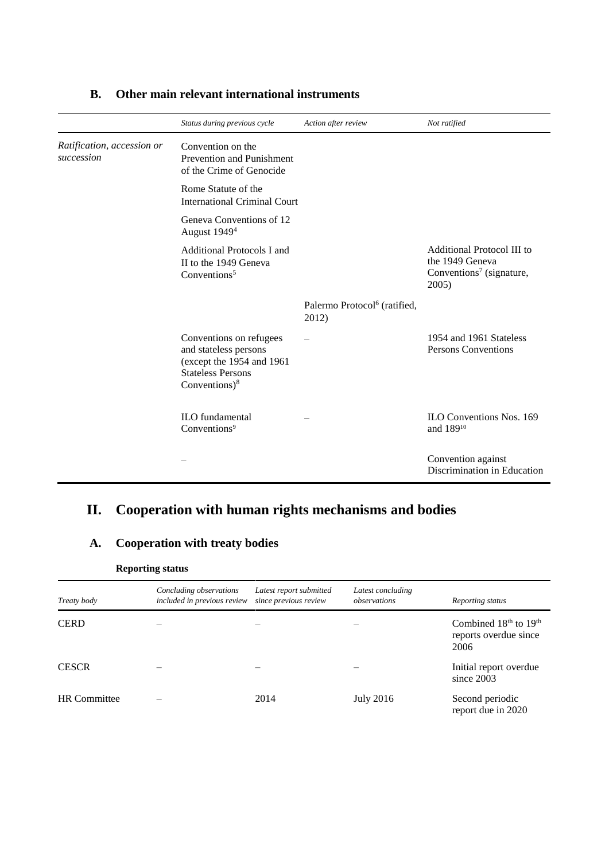|                                          | Status during previous cycle                                                                                                  | Action after review                               | Not ratified                                                                                   |
|------------------------------------------|-------------------------------------------------------------------------------------------------------------------------------|---------------------------------------------------|------------------------------------------------------------------------------------------------|
| Ratification, accession or<br>succession | Convention on the<br>Prevention and Punishment<br>of the Crime of Genocide                                                    |                                                   |                                                                                                |
|                                          | Rome Statute of the<br><b>International Criminal Court</b>                                                                    |                                                   |                                                                                                |
|                                          | Geneva Conventions of 12<br>August 1949 <sup>4</sup>                                                                          |                                                   |                                                                                                |
|                                          | Additional Protocols I and<br>II to the 1949 Geneva<br>Conventions <sup>5</sup>                                               |                                                   | Additional Protocol III to<br>the 1949 Geneva<br>Conventions <sup>7</sup> (signature,<br>2005) |
|                                          |                                                                                                                               | Palermo Protocol <sup>6</sup> (ratified,<br>2012) |                                                                                                |
|                                          | Conventions on refugees<br>and stateless persons<br>(except the 1954 and 1961<br><b>Stateless Persons</b><br>Conventions) $8$ |                                                   | 1954 and 1961 Stateless<br>Persons Conventions                                                 |
|                                          | <b>ILO</b> fundamental<br>Conventions <sup>9</sup>                                                                            |                                                   | <b>ILO Conventions Nos. 169</b><br>and 189 <sup>10</sup>                                       |
|                                          |                                                                                                                               |                                                   | Convention against<br>Discrimination in Education                                              |

### **B. Other main relevant international instruments**

## **II. Cooperation with human rights mechanisms and bodies**

### **A. Cooperation with treaty bodies**

#### **Reporting status**

| Treaty body         | Concluding observations<br>included in previous review | Latest report submitted<br>since previous review | Latest concluding<br>observations | Reporting status                                           |
|---------------------|--------------------------------------------------------|--------------------------------------------------|-----------------------------------|------------------------------------------------------------|
| <b>CERD</b>         |                                                        |                                                  |                                   | Combined $18th$ to $19th$<br>reports overdue since<br>2006 |
| <b>CESCR</b>        |                                                        |                                                  |                                   | Initial report overdue<br>since 2003                       |
| <b>HR</b> Committee |                                                        | 2014                                             | <b>July 2016</b>                  | Second periodic<br>report due in 2020                      |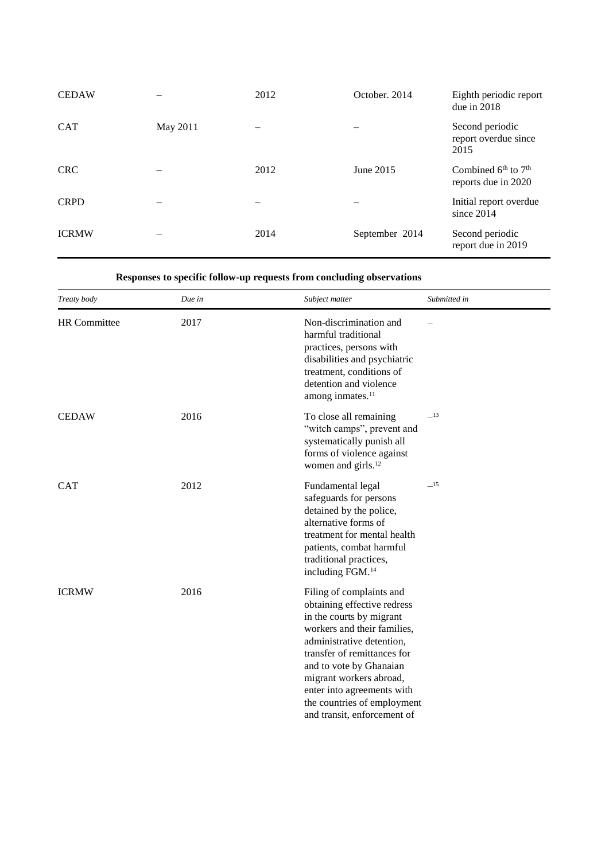| <b>CEDAW</b> |          | 2012 | October, 2014  | Eighth periodic report<br>due in 2018                              |
|--------------|----------|------|----------------|--------------------------------------------------------------------|
| <b>CAT</b>   | May 2011 |      |                | Second periodic<br>report overdue since<br>2015                    |
| <b>CRC</b>   |          | 2012 | June 2015      | Combined 6 <sup>th</sup> to 7 <sup>th</sup><br>reports due in 2020 |
| <b>CRPD</b>  |          |      |                | Initial report overdue<br>since $2014$                             |
| <b>ICRMW</b> |          | 2014 | September 2014 | Second periodic<br>report due in 2019                              |

#### **Responses to specific follow-up requests from concluding observations**

| Treaty body         | Due in | Subject matter                                                                                                                                                                                                                                                                                                                   | Submitted in |
|---------------------|--------|----------------------------------------------------------------------------------------------------------------------------------------------------------------------------------------------------------------------------------------------------------------------------------------------------------------------------------|--------------|
| <b>HR</b> Committee | 2017   | Non-discrimination and<br>harmful traditional<br>practices, persons with<br>disabilities and psychiatric<br>treatment, conditions of<br>detention and violence<br>among inmates. <sup>11</sup>                                                                                                                                   |              |
| <b>CEDAW</b>        | 2016   | To close all remaining<br>"witch camps", prevent and<br>systematically punish all<br>forms of violence against<br>women and girls. <sup>12</sup>                                                                                                                                                                                 | $-13$        |
| <b>CAT</b>          | 2012   | Fundamental legal<br>safeguards for persons<br>detained by the police,<br>alternative forms of<br>treatment for mental health<br>patients, combat harmful<br>traditional practices,<br>including FGM. <sup>14</sup>                                                                                                              | $-15$        |
| <b>ICRMW</b>        | 2016   | Filing of complaints and<br>obtaining effective redress<br>in the courts by migrant<br>workers and their families,<br>administrative detention,<br>transfer of remittances for<br>and to vote by Ghanaian<br>migrant workers abroad,<br>enter into agreements with<br>the countries of employment<br>and transit, enforcement of |              |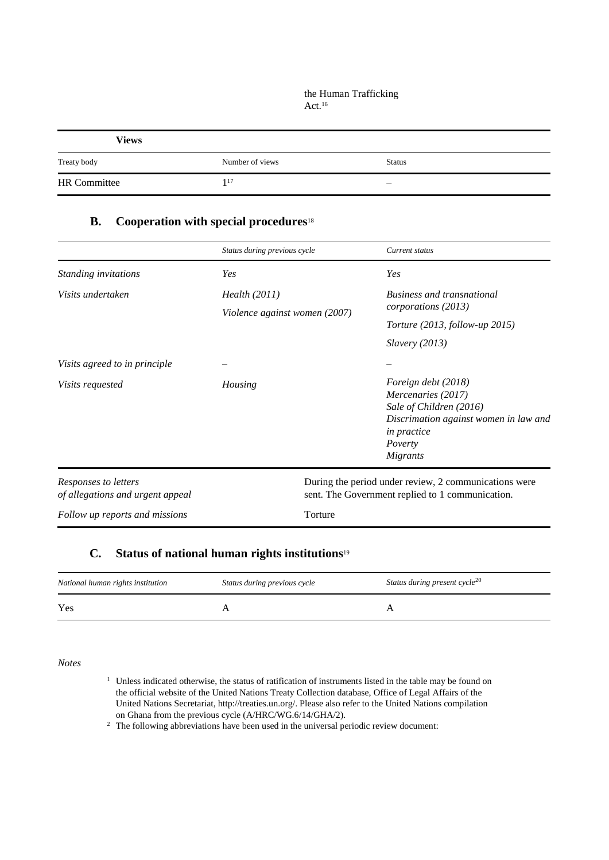#### the Human Trafficking Act.<sup>16</sup>

| <b>Views</b>        |                 |               |
|---------------------|-----------------|---------------|
| Treaty body         | Number of views | <b>Status</b> |
| <b>HR</b> Committee | 117             | _             |

### **B. Cooperation with special procedures**<sup>18</sup>

|                                                          | Status during previous cycle  | Current status                                                                                            |
|----------------------------------------------------------|-------------------------------|-----------------------------------------------------------------------------------------------------------|
| Standing invitations                                     | Yes                           | Yes                                                                                                       |
| Visits undertaken                                        | Health (2011)                 | <b>Business and transnational</b>                                                                         |
|                                                          | Violence against women (2007) | corporations (2013)                                                                                       |
|                                                          |                               | <i>Torture</i> (2013, <i>follow-up</i> 2015)                                                              |
|                                                          |                               | Slavery(2013)                                                                                             |
| Visits agreed to in principle                            |                               |                                                                                                           |
| <i>Visits requested</i>                                  | Housing                       | Foreign debt (2018)<br>Mercenaries (2017)                                                                 |
|                                                          |                               | Sale of Children (2016)                                                                                   |
|                                                          |                               | Discrimation against women in law and<br>in practice                                                      |
|                                                          |                               | Poverty                                                                                                   |
|                                                          |                               | Migrants                                                                                                  |
| Responses to letters<br>of allegations and urgent appeal |                               | During the period under review, 2 communications were<br>sent. The Government replied to 1 communication. |
| Follow up reports and missions                           | Torture                       |                                                                                                           |

#### **C. Status of national human rights institutions**<sup>19</sup>

| National human rights institution | Status during previous cycle | Status during present cycle <sup>20</sup> |
|-----------------------------------|------------------------------|-------------------------------------------|
| Yes                               |                              |                                           |

*Notes*

- <sup>1</sup> Unless indicated otherwise, the status of ratification of instruments listed in the table may be found on the official website of the United Nations Treaty Collection database, Office of Legal Affairs of the United Nations Secretariat, http://treaties.un.org/. Please also refer to the United Nations compilation on Ghana from the previous cycle (A/HRC/WG.6/14/GHA/2).
- <sup>2</sup> The following abbreviations have been used in the universal periodic review document: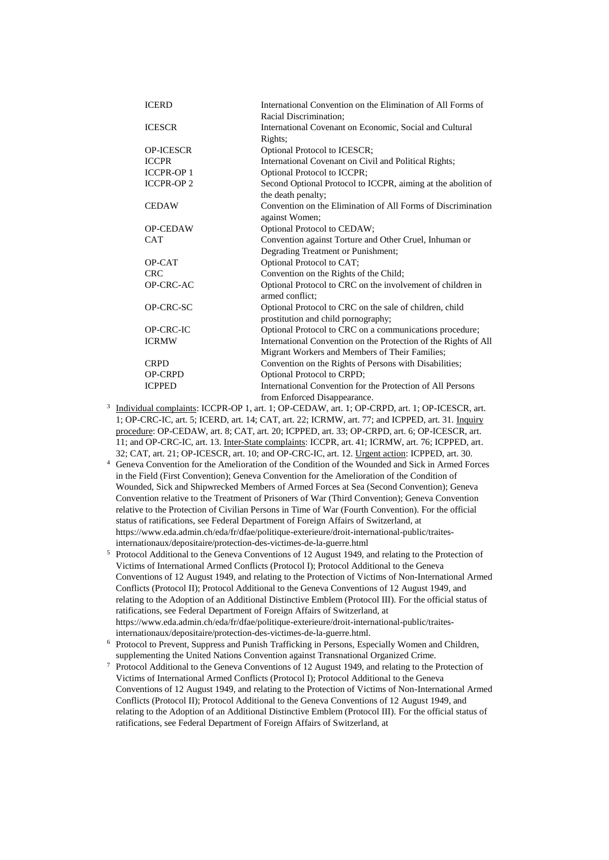| <b>ICERD</b>     | International Convention on the Elimination of All Forms of     |
|------------------|-----------------------------------------------------------------|
|                  | Racial Discrimination;                                          |
| <b>ICESCR</b>    | International Covenant on Economic, Social and Cultural         |
|                  | Rights;                                                         |
| <b>OP-ICESCR</b> | Optional Protocol to ICESCR;                                    |
| <b>ICCPR</b>     | International Covenant on Civil and Political Rights;           |
| <b>ICCPR-OP1</b> | Optional Protocol to ICCPR;                                     |
| <b>ICCPR-OP2</b> | Second Optional Protocol to ICCPR, aiming at the abolition of   |
|                  | the death penalty;                                              |
| <b>CEDAW</b>     | Convention on the Elimination of All Forms of Discrimination    |
|                  | against Women;                                                  |
| <b>OP-CEDAW</b>  | Optional Protocol to CEDAW;                                     |
| <b>CAT</b>       | Convention against Torture and Other Cruel, Inhuman or          |
|                  | Degrading Treatment or Punishment;                              |
| OP-CAT           | Optional Protocol to CAT;                                       |
| <b>CRC</b>       | Convention on the Rights of the Child;                          |
| OP-CRC-AC        | Optional Protocol to CRC on the involvement of children in      |
|                  | armed conflict:                                                 |
| OP-CRC-SC        | Optional Protocol to CRC on the sale of children, child         |
|                  | prostitution and child pornography;                             |
| <b>OP-CRC-IC</b> | Optional Protocol to CRC on a communications procedure;         |
| <b>ICRMW</b>     | International Convention on the Protection of the Rights of All |
|                  | Migrant Workers and Members of Their Families;                  |
| <b>CRPD</b>      | Convention on the Rights of Persons with Disabilities;          |
| <b>OP-CRPD</b>   | <b>Optional Protocol to CRPD;</b>                               |
| <b>ICPPED</b>    | International Convention for the Protection of All Persons      |
|                  | from Enforced Disappearance.                                    |

from Enforced Disappearance.<br><sup>3</sup> Individual complaints: ICCPR-OP 1, art. 1; OP-CEDAW, art. 1; OP-CRPD, art. 1; OP-ICESCR, art. 1; OP-CRC-IC, art. 5; ICERD, art. 14; CAT, art. 22; ICRMW, art. 77; and ICPPED, art. 31. Inquiry procedure: OP-CEDAW, art. 8; CAT, art. 20; ICPPED, art. 33; OP-CRPD, art. 6; OP-ICESCR, art. 11; and OP-CRC-IC, art. 13. Inter-State complaints: ICCPR, art. 41; ICRMW, art. 76; ICPPED, art. 32; CAT, art. 21; OP-ICESCR, art. 10; and OP-CRC-IC, art. 12. Urgent action: ICPPED, art. 30.

- <sup>4</sup> Geneva Convention for the Amelioration of the Condition of the Wounded and Sick in Armed Forces in the Field (First Convention); Geneva Convention for the Amelioration of the Condition of Wounded, Sick and Shipwrecked Members of Armed Forces at Sea (Second Convention); Geneva Convention relative to the Treatment of Prisoners of War (Third Convention); Geneva Convention relative to the Protection of Civilian Persons in Time of War (Fourth Convention). For the official status of ratifications, see Federal Department of Foreign Affairs of Switzerland, at https://www.eda.admin.ch/eda/fr/dfae/politique-exterieure/droit-international-public/traitesinternationaux/depositaire/protection-des-victimes-de-la-guerre.html
- <sup>5</sup> Protocol Additional to the Geneva Conventions of 12 August 1949, and relating to the Protection of Victims of International Armed Conflicts (Protocol I); Protocol Additional to the Geneva Conventions of 12 August 1949, and relating to the Protection of Victims of Non-International Armed Conflicts (Protocol II); Protocol Additional to the Geneva Conventions of 12 August 1949, and relating to the Adoption of an Additional Distinctive Emblem (Protocol III). For the official status of ratifications, see Federal Department of Foreign Affairs of Switzerland, at https://www.eda.admin.ch/eda/fr/dfae/politique-exterieure/droit-international-public/traitesinternationaux/depositaire/protection-des-victimes-de-la-guerre.html.
- <sup>6</sup> Protocol to Prevent, Suppress and Punish Trafficking in Persons, Especially Women and Children, supplementing the United Nations Convention against Transnational Organized Crime.
- <sup>7</sup> Protocol Additional to the Geneva Conventions of 12 August 1949, and relating to the Protection of Victims of International Armed Conflicts (Protocol I); Protocol Additional to the Geneva Conventions of 12 August 1949, and relating to the Protection of Victims of Non-International Armed Conflicts (Protocol II); Protocol Additional to the Geneva Conventions of 12 August 1949, and relating to the Adoption of an Additional Distinctive Emblem (Protocol III). For the official status of ratifications, see Federal Department of Foreign Affairs of Switzerland, at